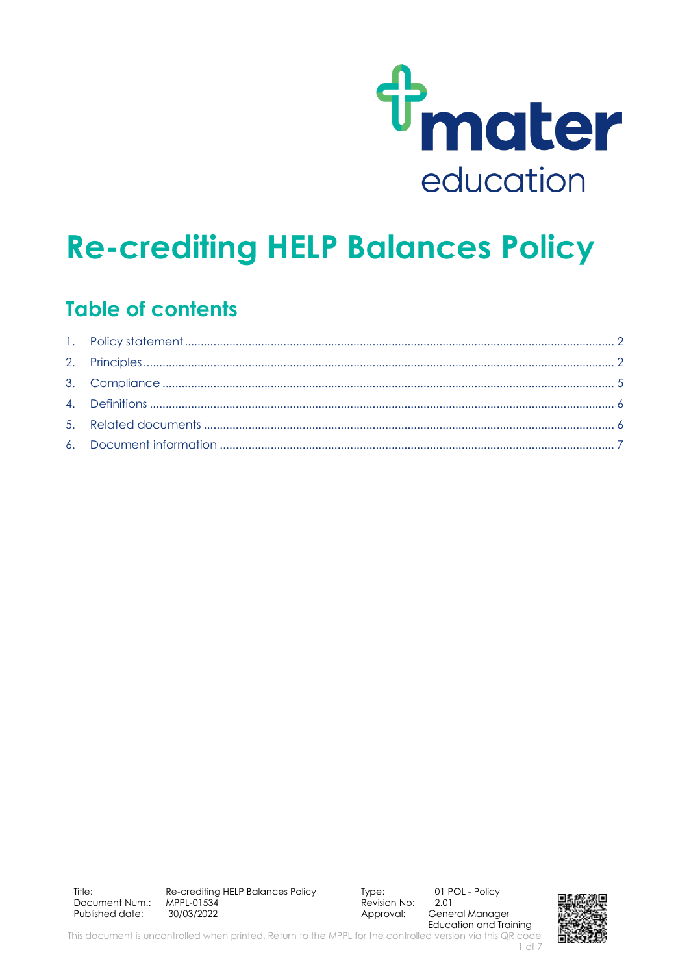

# **Re-crediting HELP Balances Policy**

## **Table of contents**

Approval: General Manager Education and Training

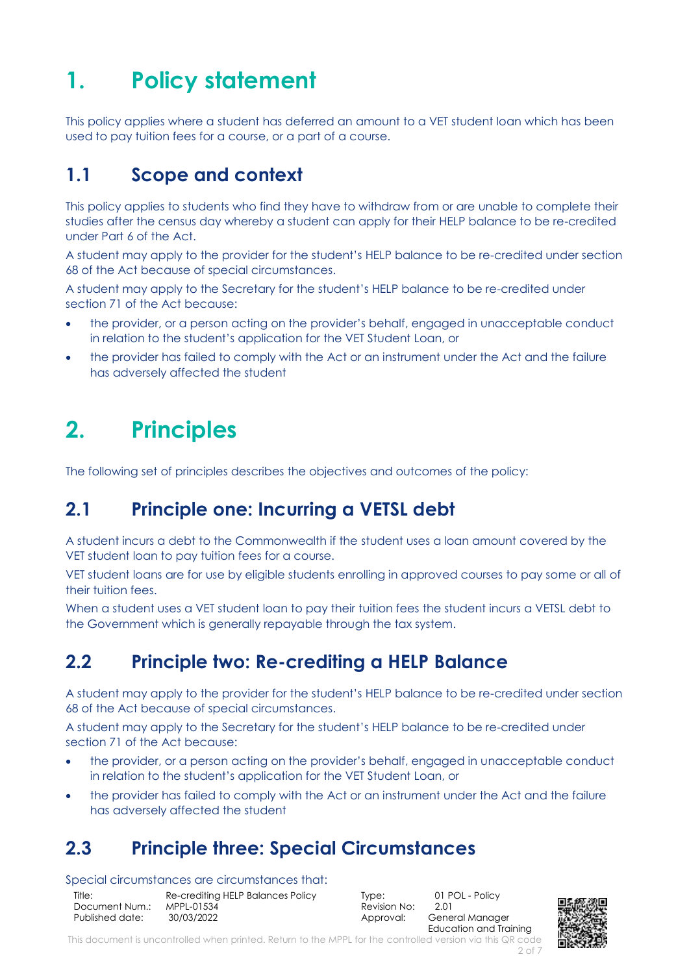# <span id="page-1-0"></span>**1. Policy statement**

This policy applies where a student has deferred an amount to a VET student loan which has been used to pay tuition fees for a course, or a part of a course.

#### **1.1 Scope and context**

This policy applies to students who find they have to withdraw from or are unable to complete their studies after the census day whereby a student can apply for their HELP balance to be re-credited under Part 6 of the Act.

A student may apply to the provider for the student's HELP balance to be re-credited under section 68 of the Act because of special circumstances.

A student may apply to the Secretary for the student's HELP balance to be re-credited under section 71 of the Act because:

- the provider, or a person acting on the provider's behalf, engaged in unacceptable conduct in relation to the student's application for the VET Student Loan, or
- the provider has failed to comply with the Act or an instrument under the Act and the failure has adversely affected the student

# <span id="page-1-1"></span>**2. Principles**

The following set of principles describes the objectives and outcomes of the policy:

## **2.1 Principle one: Incurring a VETSL debt**

A student incurs a debt to the Commonwealth if the student uses a loan amount covered by the VET student loan to pay tuition fees for a course.

VET student loans are for use by eligible students enrolling in approved courses to pay some or all of their tuition fees.

When a student uses a VET student loan to pay their tuition fees the student incurs a VETSL debt to the Government which is generally repayable through the tax system.

## **2.2 Principle two: Re-crediting a HELP Balance**

A student may apply to the provider for the student's HELP balance to be re-credited under section 68 of the Act because of special circumstances.

A student may apply to the Secretary for the student's HELP balance to be re-credited under section 71 of the Act because:

- the provider, or a person acting on the provider's behalf, engaged in unacceptable conduct in relation to the student's application for the VET Student Loan, or
- the provider has failed to comply with the Act or an instrument under the Act and the failure has adversely affected the student

## **2.3 Principle three: Special Circumstances**

#### Special circumstances are circumstances that:

| Title:          | Re-crediting HELP Balances Policy |
|-----------------|-----------------------------------|
| Document Num.:  | MPPL-01534                        |
| Published date: | 30/03/2022                        |

 $\overline{R}$  Revision No:

Type: 01 POL - Policy<br>Revision No: 201 Approval: General Manager Education and Training



This document is uncontrolled when printed. Return to the MPPL for the controlled version via this QR code 2 of 7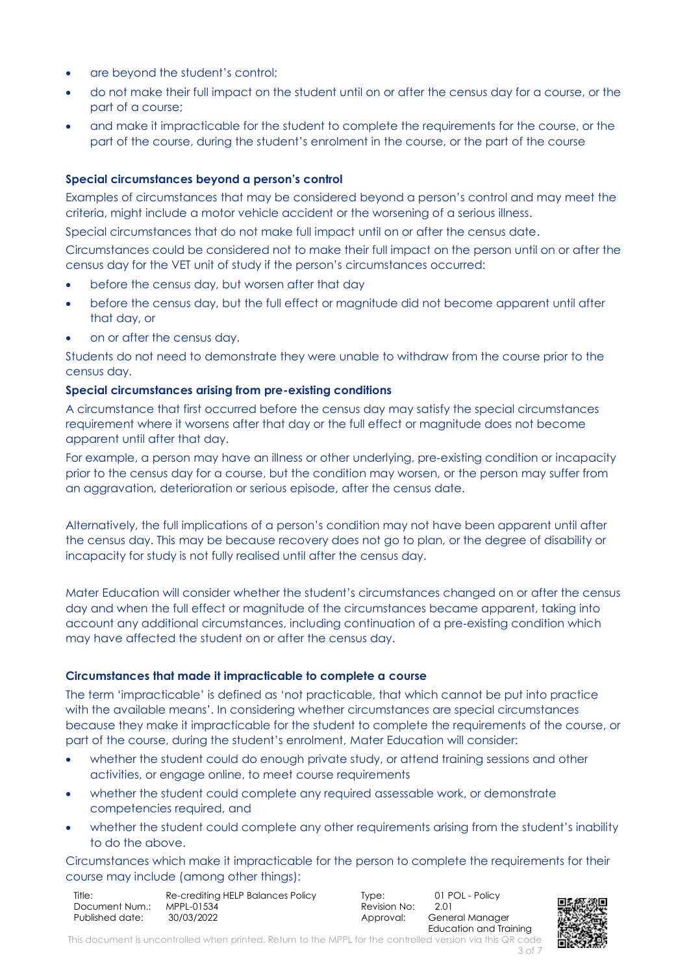- are beyond the student's control:
- do not make their full impact on the student until on or after the census day for a course, or the part of a course;
- and make it impracticable for the student to complete the requirements for the course, or the part of the course, during the student's enrolment in the course, or the part of the course

#### **Special circumstances beyond a person's control**

Examples of circumstances that may be considered beyond a person's control and may meet the criteria, might include a motor vehicle accident or the worsening of a serious illness.

Special circumstances that do not make full impact until on or after the census date.

Circumstances could be considered not to make their full impact on the person until on or after the census day for the VET unit of study if the person's circumstances occurred:

- before the census day, but worsen after that day
- before the census day, but the full effect or magnitude did not become apparent until after that day, or
- on or after the census day.

Students do not need to demonstrate they were unable to withdraw from the course prior to the census day.

#### **Special circumstances arising from pre-existing conditions**

A circumstance that first occurred before the census day may satisfy the special circumstances requirement where it worsens after that day or the full effect or magnitude does not become apparent until after that day.

For example, a person may have an illness or other underlying, pre-existing condition or incapacity prior to the census day for a course, but the condition may worsen, or the person may suffer from an aggravation, deterioration or serious episode, after the census date.

Alternatively, the full implications of a person's condition may not have been apparent until after the census day. This may be because recovery does not go to plan, or the degree of disability or incapacity for study is not fully realised until after the census day.

Mater Education will consider whether the student's circumstances changed on or after the census day and when the full effect or magnitude of the circumstances became apparent, taking into account any additional circumstances, including continuation of a pre‐existing condition which may have affected the student on or after the census day.

#### **Circumstances that made it impracticable to complete a course**

The term 'impracticable' is defined as 'not practicable, that which cannot be put into practice with the available means'. In considering whether circumstances are special circumstances because they make it impracticable for the student to complete the requirements of the course, or part of the course, during the student's enrolment, Mater Education will consider:

- whether the student could do enough private study, or attend training sessions and other activities, or engage online, to meet course requirements
- whether the student could complete any required assessable work, or demonstrate competencies required, and
- whether the student could complete any other requirements arising from the student's inability to do the above.

Circumstances which make it impracticable for the person to complete the requirements for their course may include (among other things):

| Title:          | Re-crediting HELP Balances Policy |
|-----------------|-----------------------------------|
| Document Num.:  | MPPL-01534                        |
| Published date: | 30/03/2022                        |

Revision No:

Type: 01 POL - Policy<br>Revision No: 2.01 Approval: General Manager Education and Training



This document is uncontrolled when printed. Return to the MPPL for the controlled version via this QR code 3 of 7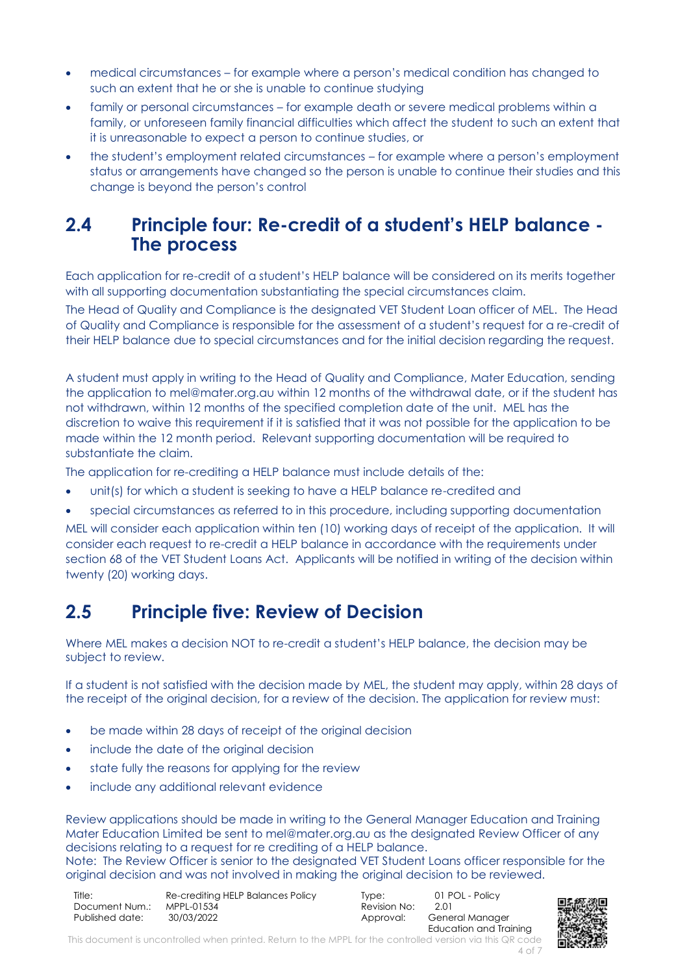- medical circumstances for example where a person's medical condition has changed to such an extent that he or she is unable to continue studying
- family or personal circumstances for example death or severe medical problems within a family, or unforeseen family financial difficulties which affect the student to such an extent that it is unreasonable to expect a person to continue studies, or
- the student's employment related circumstances for example where a person's employment status or arrangements have changed so the person is unable to continue their studies and this change is beyond the person's control

#### **2.4 Principle four: Re-credit of a student's HELP balance - The process**

Each application for re-credit of a student's HELP balance will be considered on its merits together with all supporting documentation substantiating the special circumstances claim.

The Head of Quality and Compliance is the designated VET Student Loan officer of MEL. The Head of Quality and Compliance is responsible for the assessment of a student's request for a re-credit of their HELP balance due to special circumstances and for the initial decision regarding the request.

A student must apply in writing to the Head of Quality and Compliance, Mater Education, sending the application to mel@mater.org.au within 12 months of the withdrawal date, or if the student has not withdrawn, within 12 months of the specified completion date of the unit. MEL has the discretion to waive this requirement if it is satisfied that it was not possible for the application to be made within the 12 month period. Relevant supporting documentation will be required to substantiate the claim.

The application for re-crediting a HELP balance must include details of the:

- unit(s) for which a student is seeking to have a HELP balance re-credited and
- special circumstances as referred to in this procedure, including supporting documentation

MEL will consider each application within ten (10) working days of receipt of the application. It will consider each request to re-credit a HELP balance in accordance with the requirements under section 68 of the VET Student Loans Act. Applicants will be notified in writing of the decision within twenty (20) working days.

#### **2.5 Principle five: Review of Decision**

Where MEL makes a decision NOT to re-credit a student's HELP balance, the decision may be subject to review.

If a student is not satisfied with the decision made by MEL, the student may apply, within 28 days of the receipt of the original decision, for a review of the decision. The application for review must:

- be made within 28 days of receipt of the original decision
- include the date of the original decision
- state fully the reasons for applying for the review
- include any additional relevant evidence

Review applications should be made in writing to the General Manager Education and Training Mater Education Limited be sent to mel@mater.org.au as the designated Review Officer of any decisions relating to a request for re crediting of a HELP balance.

Note: The Review Officer is senior to the designated VET Student Loans officer responsible for the original decision and was not involved in making the original decision to be reviewed.

| Title:          | Re-crediting HELP Balances Policy |
|-----------------|-----------------------------------|
| Document Num.:  | MPPL-01534                        |
| Published date: | 30/03/2022                        |

Revision No:

Type: 01 POL - Policy<br>Revision No: 2.01 Approval: General Manager Education and Training



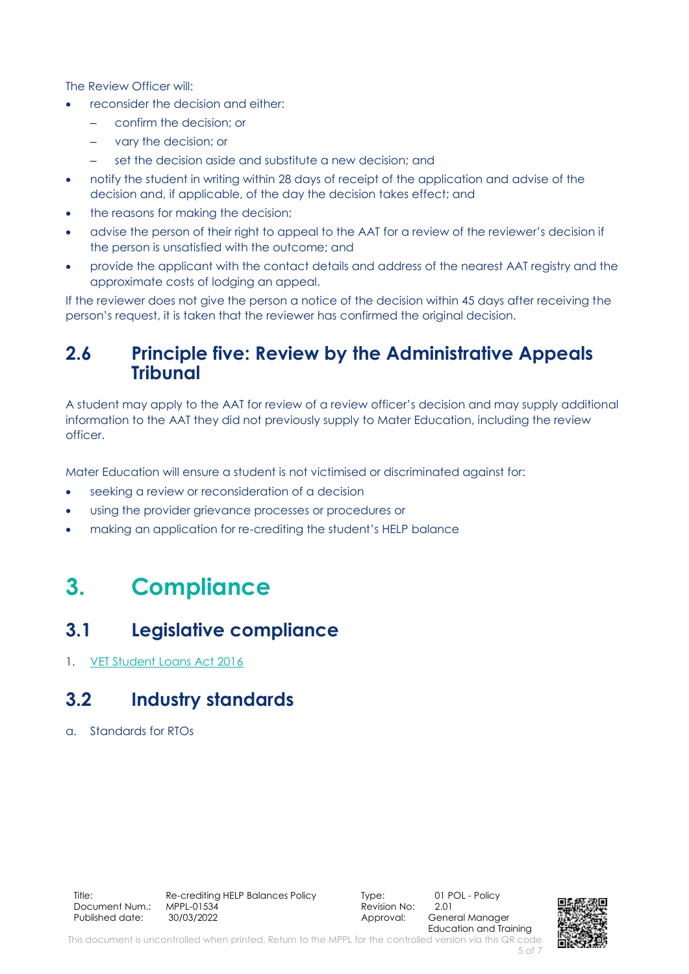The Review Officer will:

- reconsider the decision and either:
	- confirm the decision; or
	- vary the decision; or
		- set the decision aside and substitute a new decision; and
- notify the student in writing within 28 days of receipt of the application and advise of the decision and, if applicable, of the day the decision takes effect; and
- the reasons for making the decision:
- advise the person of their right to appeal to the AAT for a review of the reviewer's decision if the person is unsatisfied with the outcome; and
- provide the applicant with the contact details and address of the nearest AAT registry and the approximate costs of lodging an appeal.

If the reviewer does not give the person a notice of the decision within 45 days after receiving the person's request, it is taken that the reviewer has confirmed the original decision.

#### **2.6 Principle five: Review by the Administrative Appeals Tribunal**

A student may apply to the AAT for review of a review officer's decision and may supply additional information to the AAT they did not previously supply to Mater Education, including the review officer.

Mater Education will ensure a student is not victimised or discriminated against for:

- seeking a review or reconsideration of a decision
- using the provider grievance processes or procedures or
- <span id="page-4-0"></span>• making an application for re-crediting the student's HELP balance

# **3. Compliance**

#### **3.1 Legislative compliance**

1. [VET Student Loans Act 2016](https://www.legislation.gov.au/Details/C2020C00047)

## **3.2 Industry standards**

a. Standards for RTOs

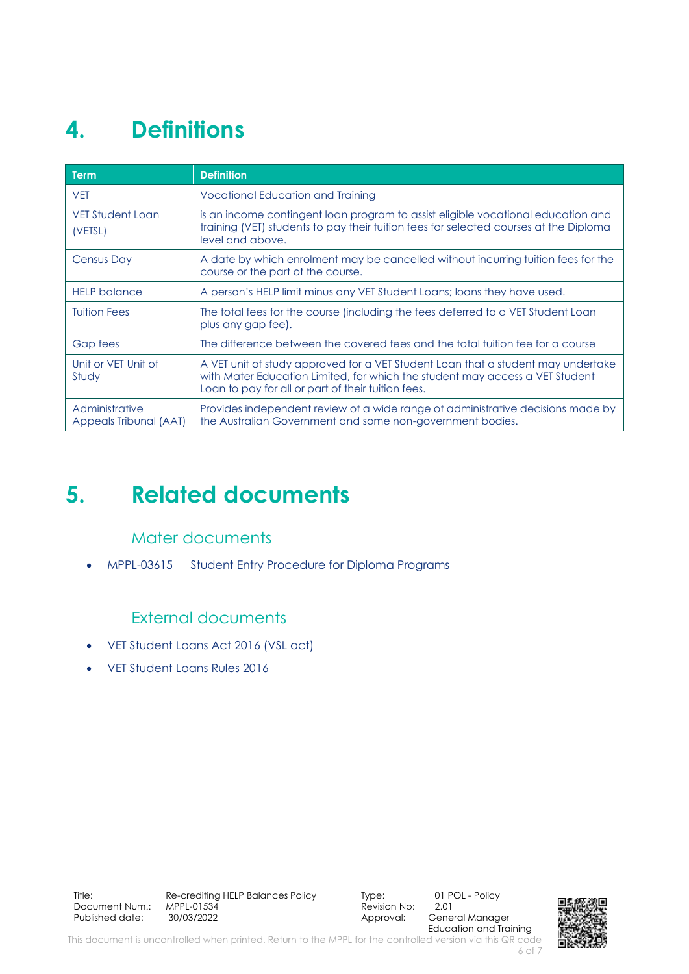# <span id="page-5-0"></span>**4. Definitions**

| <b>Term</b>                              | <b>Definition</b>                                                                                                                                                                                                      |
|------------------------------------------|------------------------------------------------------------------------------------------------------------------------------------------------------------------------------------------------------------------------|
| <b>VET</b>                               | <b>Vocational Education and Training</b>                                                                                                                                                                               |
| VET Student Loan<br>(VETSL)              | is an income contingent loan program to assist eligible vocational education and<br>training (VET) students to pay their tuition fees for selected courses at the Diploma<br>level and above.                          |
| <b>Census Day</b>                        | A date by which enrolment may be cancelled without incurring fuition fees for the<br>course or the part of the course.                                                                                                 |
| <b>HELP</b> balance                      | A person's HELP limit minus any VET Student Loans; loans they have used.                                                                                                                                               |
| <b>Tuition Fees</b>                      | The total fees for the course (including the fees deferred to a VET Student Loan<br>plus any gap fee).                                                                                                                 |
| Gap fees                                 | The difference between the covered fees and the total tuition fee for a course                                                                                                                                         |
| Unit or VET Unit of<br>Study             | A VET unit of study approved for a VET Student Loan that a student may undertake<br>with Mater Education Limited, for which the student may access a VET Student<br>Loan to pay for all or part of their tuition fees. |
| Administrative<br>Appeals Tribunal (AAT) | Provides independent review of a wide range of administrative decisions made by<br>the Australian Government and some non-government bodies.                                                                           |

# <span id="page-5-1"></span>**5. Related documents**

#### Mater documents

• MPPL-03615 Student Entry Procedure for Diploma Programs

#### External documents

- VET Student Loans Act 2016 (VSL act)
- VET Student Loans Rules 2016